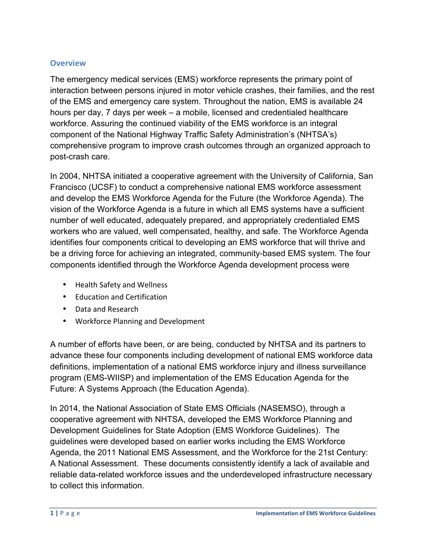### **Overview**

The emergency medical services (EMS) workforce represents the primary point of interaction between persons injured in motor vehicle crashes, their families, and the rest of the EMS and emergency care system. Throughout the nation, EMS is available 24 hours per day, 7 days per week – a mobile, licensed and credentialed healthcare workforce. Assuring the continued viability of the EMS workforce is an integral component of the National Highway Traffic Safety Administration's (NHTSA's) comprehensive program to improve crash outcomes through an organized approach to post-crash care.

In 2004, NHTSA initiated a cooperative agreement with the University of California, San Francisco (UCSF) to conduct a comprehensive national EMS workforce assessment and develop the EMS Workforce Agenda for the Future (the Workforce Agenda). The vision of the Workforce Agenda is a future in which all EMS systems have a sufficient number of well educated, adequately prepared, and appropriately credentialed EMS workers who are valued, well compensated, healthy, and safe. The Workforce Agenda identifies four components critical to developing an EMS workforce that will thrive and be a driving force for achieving an integrated, community-based EMS system. The four components identified through the Workforce Agenda development process were

- Health Safety and Wellness
- Education and Certification
- Data and Research
- Workforce Planning and Development

A number of efforts have been, or are being, conducted by NHTSA and its partners to advance these four components including development of national EMS workforce data definitions, implementation of a national EMS workforce injury and illness surveillance program (EMS-WIISP) and implementation of the EMS Education Agenda for the Future: A Systems Approach (the Education Agenda).

In 2014, the National Association of State EMS Officials (NASEMSO), through a cooperative agreement with NHTSA, developed the EMS Workforce Planning and Development Guidelines for State Adoption (EMS Workforce Guidelines). The guidelines were developed based on earlier works including the EMS Workforce Agenda, the 2011 National EMS Assessment, and the Workforce for the 21st Century: A National Assessment. These documents consistently identify a lack of available and reliable data-related workforce issues and the underdeveloped infrastructure necessary to collect this information.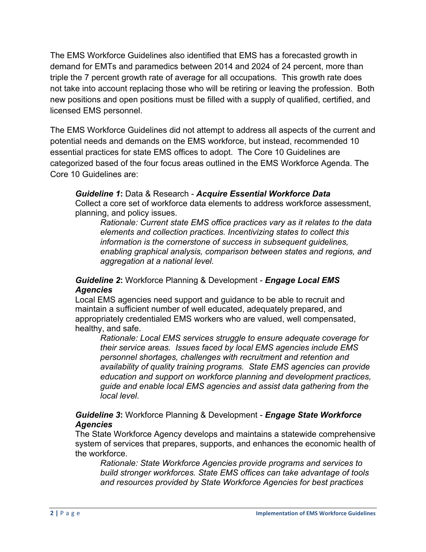The EMS Workforce Guidelines also identified that EMS has a forecasted growth in demand for EMTs and paramedics between 2014 and 2024 of 24 percent, more than triple the 7 percent growth rate of average for all occupations. This growth rate does not take into account replacing those who will be retiring or leaving the profession. Both new positions and open positions must be filled with a supply of qualified, certified, and licensed EMS personnel.

The EMS Workforce Guidelines did not attempt to address all aspects of the current and potential needs and demands on the EMS workforce, but instead, recommended 10 essential practices for state EMS offices to adopt. The Core 10 Guidelines are categorized based of the four focus areas outlined in the EMS Workforce Agenda. The Core 10 Guidelines are:

### *Guideline 1***:** Data & Research - *Acquire Essential Workforce Data*

Collect a core set of workforce data elements to address workforce assessment, planning, and policy issues.

*Rationale: Current state EMS office practices vary as it relates to the data elements and collection practices. Incentivizing states to collect this information is the cornerstone of success in subsequent guidelines, enabling graphical analysis, comparison between states and regions, and aggregation at a national level.*

### *Guideline 2***:** Workforce Planning & Development - *Engage Local EMS Agencies*

Local EMS agencies need support and guidance to be able to recruit and maintain a sufficient number of well educated, adequately prepared, and appropriately credentialed EMS workers who are valued, well compensated, healthy, and safe.

*Rationale: Local EMS services struggle to ensure adequate coverage for their service areas. Issues faced by local EMS agencies include EMS personnel shortages, challenges with recruitment and retention and availability of quality training programs. State EMS agencies can provide education and support on workforce planning and development practices, guide and enable local EMS agencies and assist data gathering from the local level.*

### *Guideline 3***:** Workforce Planning & Development - *Engage State Workforce Agencies*

The State Workforce Agency develops and maintains a statewide comprehensive system of services that prepares, supports, and enhances the economic health of the workforce.

*Rationale: State Workforce Agencies provide programs and services to build stronger workforces. State EMS offices can take advantage of tools and resources provided by State Workforce Agencies for best practices*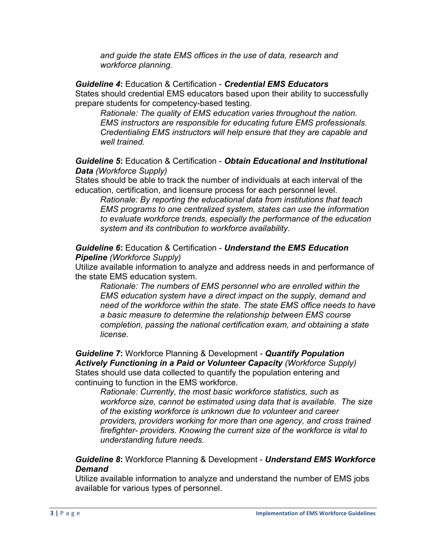*and guide the state EMS offices in the use of data, research and workforce planning.*

*Guideline 4***:** Education & Certification - *Credential EMS Educators* States should credential EMS educators based upon their ability to successfully prepare students for competency-based testing.

*Rationale: The quality of EMS education varies throughout the nation. EMS instructors are responsible for educating future EMS professionals. Credentialing EMS instructors will help ensure that they are capable and well trained.*

#### *Guideline 5***:** Education & Certification - *Obtain Educational and Institutional Data (Workforce Supply)*

States should be able to track the number of individuals at each interval of the education, certification, and licensure process for each personnel level.

*Rationale: By reporting the educational data from institutions that teach EMS programs to one centralized system, states can use the information to evaluate workforce trends, especially the performance of the education system and its contribution to workforce availability.*

*Guideline 6***:** Education & Certification - *Understand the EMS Education Pipeline (Workforce Supply)*

Utilize available information to analyze and address needs in and performance of the state EMS education system.

*Rationale: The numbers of EMS personnel who are enrolled within the EMS education system have a direct impact on the supply, demand and need of the workforce within the state. The state EMS office needs to have a basic measure to determine the relationship between EMS course completion, passing the national certification exam, and obtaining a state license.*

*Guideline 7***:** Workforce Planning & Development - *Quantify Population Actively Functioning in a Paid or Volunteer Capacity (Workforce Supply)* States should use data collected to quantify the population entering and continuing to function in the EMS workforce.

*Rationale: Currently, the most basic workforce statistics, such as workforce size, cannot be estimated using data that is available. The size of the existing workforce is unknown due to volunteer and career providers, providers working for more than one agency, and cross trained firefighter- providers. Knowing the current size of the workforce is vital to understanding future needs.*

*Guideline 8***:** Workforce Planning & Development - *Understand EMS Workforce Demand*

Utilize available information to analyze and understand the number of EMS jobs available for various types of personnel.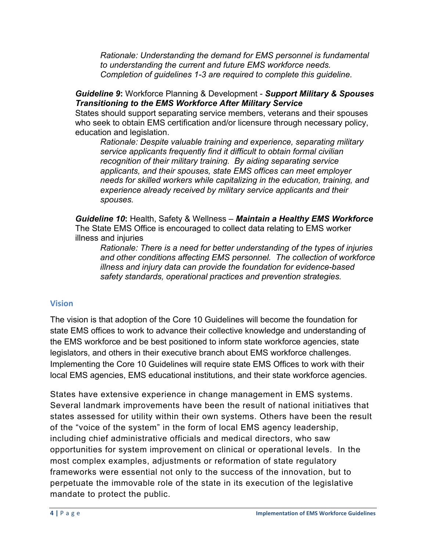*Rationale: Understanding the demand for EMS personnel is fundamental to understanding the current and future EMS workforce needs. Completion of guidelines 1-3 are required to complete this guideline.*

*Guideline 9***:** Workforce Planning & Development - *Support Military & Spouses Transitioning to the EMS Workforce After Military Service*

States should support separating service members, veterans and their spouses who seek to obtain EMS certification and/or licensure through necessary policy, education and legislation.

*Rationale: Despite valuable training and experience, separating military service applicants frequently find it difficult to obtain formal civilian recognition of their military training. By aiding separating service applicants, and their spouses, state EMS offices can meet employer needs for skilled workers while capitalizing in the education, training, and experience already received by military service applicants and their spouses.*

*Guideline 10***:** Health, Safety & Wellness – *Maintain a Healthy EMS Workforce* The State EMS Office is encouraged to collect data relating to EMS worker illness and injuries

*Rationale: There is a need for better understanding of the types of injuries and other conditions affecting EMS personnel. The collection of workforce illness and injury data can provide the foundation for evidence-based safety standards, operational practices and prevention strategies.*

#### **Vision**

The vision is that adoption of the Core 10 Guidelines will become the foundation for state EMS offices to work to advance their collective knowledge and understanding of the EMS workforce and be best positioned to inform state workforce agencies, state legislators, and others in their executive branch about EMS workforce challenges. Implementing the Core 10 Guidelines will require state EMS Offices to work with their local EMS agencies, EMS educational institutions, and their state workforce agencies.

States have extensive experience in change management in EMS systems. Several landmark improvements have been the result of national initiatives that states assessed for utility within their own systems. Others have been the result of the "voice of the system" in the form of local EMS agency leadership, including chief administrative officials and medical directors, who saw opportunities for system improvement on clinical or operational levels. In the most complex examples, adjustments or reformation of state regulatory frameworks were essential not only to the success of the innovation, but to perpetuate the immovable role of the state in its execution of the legislative mandate to protect the public.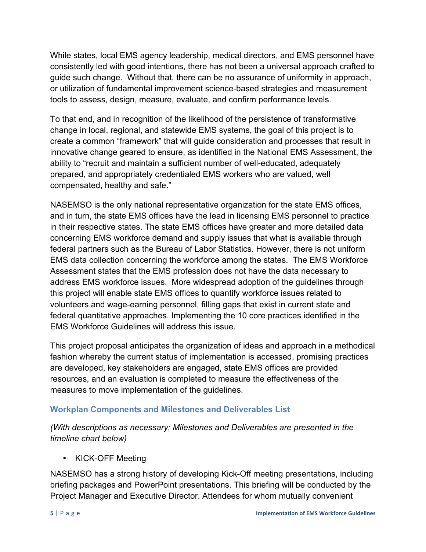While states, local EMS agency leadership, medical directors, and EMS personnel have consistently led with good intentions, there has not been a universal approach crafted to guide such change. Without that, there can be no assurance of uniformity in approach, or utilization of fundamental improvement science-based strategies and measurement tools to assess, design, measure, evaluate, and confirm performance levels.

To that end, and in recognition of the likelihood of the persistence of transformative change in local, regional, and statewide EMS systems, the goal of this project is to create a common "framework" that will guide consideration and processes that result in innovative change geared to ensure, as identified in the National EMS Assessment, the ability to "recruit and maintain a sufficient number of well-educated, adequately prepared, and appropriately credentialed EMS workers who are valued, well compensated, healthy and safe."

NASEMSO is the only national representative organization for the state EMS offices, and in turn, the state EMS offices have the lead in licensing EMS personnel to practice in their respective states. The state EMS offices have greater and more detailed data concerning EMS workforce demand and supply issues that what is available through federal partners such as the Bureau of Labor Statistics. However, there is not uniform EMS data collection concerning the workforce among the states. The EMS Workforce Assessment states that the EMS profession does not have the data necessary to address EMS workforce issues. More widespread adoption of the guidelines through this project will enable state EMS offices to quantify workforce issues related to volunteers and wage-earning personnel, filling gaps that exist in current state and federal quantitative approaches. Implementing the 10 core practices identified in the EMS Workforce Guidelines will address this issue.

This project proposal anticipates the organization of ideas and approach in a methodical fashion whereby the current status of implementation is accessed, promising practices are developed, key stakeholders are engaged, state EMS offices are provided resources, and an evaluation is completed to measure the effectiveness of the measures to move implementation of the guidelines.

## **Workplan Components and Milestones and Deliverables List**

*(With descriptions as necessary; Milestones and Deliverables are presented in the timeline chart below)*

• KICK-OFF Meeting

NASEMSO has a strong history of developing Kick-Off meeting presentations, including briefing packages and PowerPoint presentations. This briefing will be conducted by the Project Manager and Executive Director. Attendees for whom mutually convenient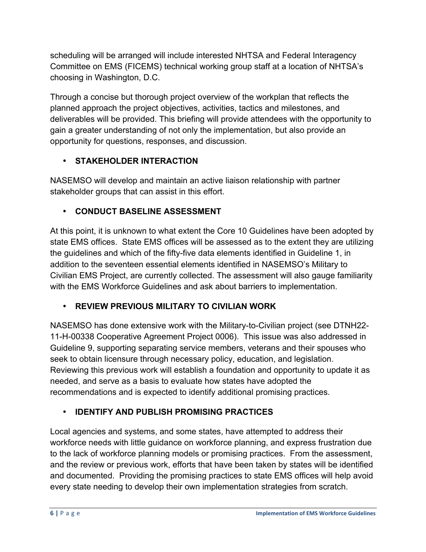scheduling will be arranged will include interested NHTSA and Federal Interagency Committee on EMS (FICEMS) technical working group staff at a location of NHTSA's choosing in Washington, D.C.

Through a concise but thorough project overview of the workplan that reflects the planned approach the project objectives, activities, tactics and milestones, and deliverables will be provided. This briefing will provide attendees with the opportunity to gain a greater understanding of not only the implementation, but also provide an opportunity for questions, responses, and discussion.

# • **STAKEHOLDER INTERACTION**

NASEMSO will develop and maintain an active liaison relationship with partner stakeholder groups that can assist in this effort.

# • **CONDUCT BASELINE ASSESSMENT**

At this point, it is unknown to what extent the Core 10 Guidelines have been adopted by state EMS offices. State EMS offices will be assessed as to the extent they are utilizing the guidelines and which of the fifty-five data elements identified in Guideline 1, in addition to the seventeen essential elements identified in NASEMSO's Military to Civilian EMS Project, are currently collected. The assessment will also gauge familiarity with the EMS Workforce Guidelines and ask about barriers to implementation.

# • **REVIEW PREVIOUS MILITARY TO CIVILIAN WORK**

NASEMSO has done extensive work with the Military-to-Civilian project (see DTNH22- 11-H-00338 Cooperative Agreement Project 0006). This issue was also addressed in Guideline 9, supporting separating service members, veterans and their spouses who seek to obtain licensure through necessary policy, education, and legislation. Reviewing this previous work will establish a foundation and opportunity to update it as needed, and serve as a basis to evaluate how states have adopted the recommendations and is expected to identify additional promising practices.

# • **IDENTIFY AND PUBLISH PROMISING PRACTICES**

Local agencies and systems, and some states, have attempted to address their workforce needs with little guidance on workforce planning, and express frustration due to the lack of workforce planning models or promising practices. From the assessment, and the review or previous work, efforts that have been taken by states will be identified and documented. Providing the promising practices to state EMS offices will help avoid every state needing to develop their own implementation strategies from scratch.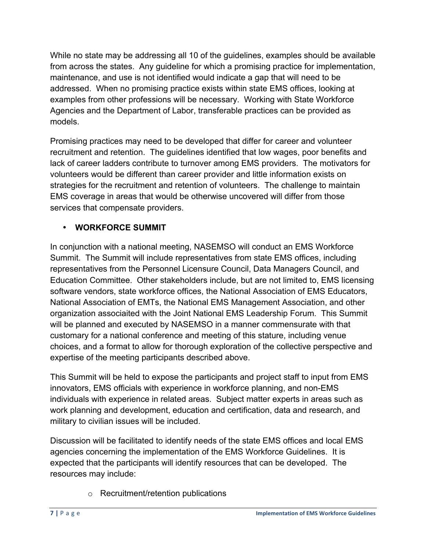While no state may be addressing all 10 of the guidelines, examples should be available from across the states. Any guideline for which a promising practice for implementation, maintenance, and use is not identified would indicate a gap that will need to be addressed. When no promising practice exists within state EMS offices, looking at examples from other professions will be necessary. Working with State Workforce Agencies and the Department of Labor, transferable practices can be provided as models.

Promising practices may need to be developed that differ for career and volunteer recruitment and retention. The guidelines identified that low wages, poor benefits and lack of career ladders contribute to turnover among EMS providers. The motivators for volunteers would be different than career provider and little information exists on strategies for the recruitment and retention of volunteers. The challenge to maintain EMS coverage in areas that would be otherwise uncovered will differ from those services that compensate providers.

## • **WORKFORCE SUMMIT**

In conjunction with a national meeting, NASEMSO will conduct an EMS Workforce Summit. The Summit will include representatives from state EMS offices, including representatives from the Personnel Licensure Council, Data Managers Council, and Education Committee. Other stakeholders include, but are not limited to, EMS licensing software vendors, state workforce offices, the National Association of EMS Educators, National Association of EMTs, the National EMS Management Association, and other organization associaited with the Joint National EMS Leadership Forum. This Summit will be planned and executed by NASEMSO in a manner commensurate with that customary for a national conference and meeting of this stature, including venue choices, and a format to allow for thorough exploration of the collective perspective and expertise of the meeting participants described above.

This Summit will be held to expose the participants and project staff to input from EMS innovators, EMS officials with experience in workforce planning, and non-EMS individuals with experience in related areas. Subject matter experts in areas such as work planning and development, education and certification, data and research, and military to civilian issues will be included.

Discussion will be facilitated to identify needs of the state EMS offices and local EMS agencies concerning the implementation of the EMS Workforce Guidelines. It is expected that the participants will identify resources that can be developed. The resources may include:

o Recruitment/retention publications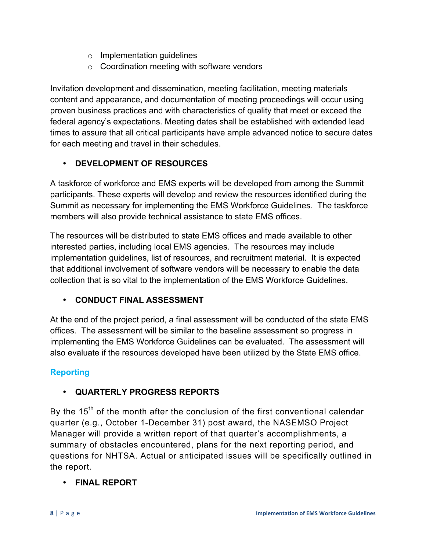- o Implementation guidelines
- $\circ$  Coordination meeting with software vendors

Invitation development and dissemination, meeting facilitation, meeting materials content and appearance, and documentation of meeting proceedings will occur using proven business practices and with characteristics of quality that meet or exceed the federal agency's expectations. Meeting dates shall be established with extended lead times to assure that all critical participants have ample advanced notice to secure dates for each meeting and travel in their schedules.

## • **DEVELOPMENT OF RESOURCES**

A taskforce of workforce and EMS experts will be developed from among the Summit participants. These experts will develop and review the resources identified during the Summit as necessary for implementing the EMS Workforce Guidelines. The taskforce members will also provide technical assistance to state EMS offices.

The resources will be distributed to state EMS offices and made available to other interested parties, including local EMS agencies. The resources may include implementation guidelines, list of resources, and recruitment material. It is expected that additional involvement of software vendors will be necessary to enable the data collection that is so vital to the implementation of the EMS Workforce Guidelines.

# • **CONDUCT FINAL ASSESSMENT**

At the end of the project period, a final assessment will be conducted of the state EMS offices. The assessment will be similar to the baseline assessment so progress in implementing the EMS Workforce Guidelines can be evaluated. The assessment will also evaluate if the resources developed have been utilized by the State EMS office.

# **Reporting**

# • **QUARTERLY PROGRESS REPORTS**

By the  $15<sup>th</sup>$  of the month after the conclusion of the first conventional calendar quarter (e.g., October 1-December 31) post award, the NASEMSO Project Manager will provide a written report of that quarter's accomplishments, a summary of obstacles encountered, plans for the next reporting period, and questions for NHTSA. Actual or anticipated issues will be specifically outlined in the report.

# • **FINAL REPORT**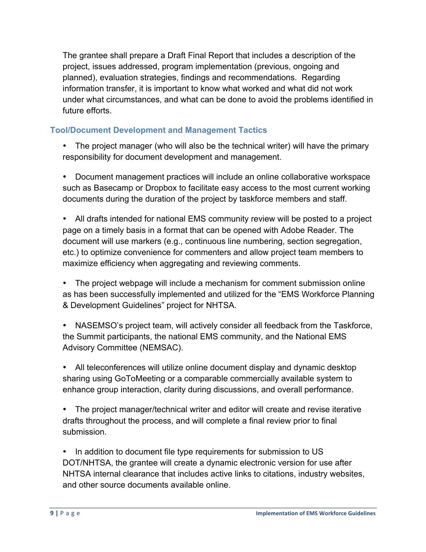The grantee shall prepare a Draft Final Report that includes a description of the project, issues addressed, program implementation (previous, ongoing and planned), evaluation strategies, findings and recommendations. Regarding information transfer, it is important to know what worked and what did not work under what circumstances, and what can be done to avoid the problems identified in future efforts.

## **Tool/Document Development and Management Tactics**

• The project manager (who will also be the technical writer) will have the primary responsibility for document development and management.

• Document management practices will include an online collaborative workspace such as Basecamp or Dropbox to facilitate easy access to the most current working documents during the duration of the project by taskforce members and staff.

• All drafts intended for national EMS community review will be posted to a project page on a timely basis in a format that can be opened with Adobe Reader. The document will use markers (e.g., continuous line numbering, section segregation, etc.) to optimize convenience for commenters and allow project team members to maximize efficiency when aggregating and reviewing comments.

• The project webpage will include a mechanism for comment submission online as has been successfully implemented and utilized for the "EMS Workforce Planning & Development Guidelines" project for NHTSA.

• NASEMSO's project team, will actively consider all feedback from the Taskforce, the Summit participants, the national EMS community, and the National EMS Advisory Committee (NEMSAC).

• All teleconferences will utilize online document display and dynamic desktop sharing using GoToMeeting or a comparable commercially available system to enhance group interaction, clarity during discussions, and overall performance.

• The project manager/technical writer and editor will create and revise iterative drafts throughout the process, and will complete a final review prior to final submission.

• In addition to document file type requirements for submission to US DOT/NHTSA, the grantee will create a dynamic electronic version for use after NHTSA internal clearance that includes active links to citations, industry websites, and other source documents available online.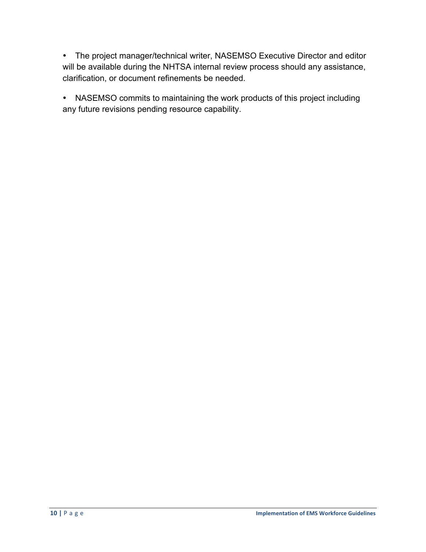• The project manager/technical writer, NASEMSO Executive Director and editor will be available during the NHTSA internal review process should any assistance, clarification, or document refinements be needed.

• NASEMSO commits to maintaining the work products of this project including any future revisions pending resource capability.